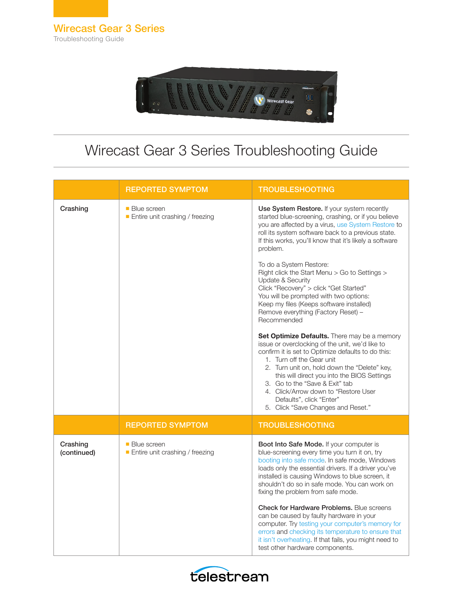

## Wirecast Gear 3 Series Troubleshooting Guide

|                         | <b>REPORTED SYMPTOM</b>                                         | <b>TROUBLESHOOTING</b>                                                                                                                                                                                                                                                                                                                                                                                                        |
|-------------------------|-----------------------------------------------------------------|-------------------------------------------------------------------------------------------------------------------------------------------------------------------------------------------------------------------------------------------------------------------------------------------------------------------------------------------------------------------------------------------------------------------------------|
| Crashing                | ■ Blue screen<br>$\blacksquare$ Entire unit crashing / freezing | Use System Restore. If your system recently<br>started blue-screening, crashing, or if you believe<br>you are affected by a virus, use System Restore to<br>roll its system software back to a previous state.<br>If this works, you'll know that it's likely a software<br>problem.                                                                                                                                          |
|                         |                                                                 | To do a System Restore:<br>Right click the Start Menu > Go to Settings ><br><b>Update &amp; Security</b><br>Click "Recovery" > click "Get Started"<br>You will be prompted with two options:<br>Keep my files (Keeps software installed)<br>Remove everything (Factory Reset) -<br>Recommended                                                                                                                                |
|                         |                                                                 | Set Optimize Defaults. There may be a memory<br>issue or overclocking of the unit, we'd like to<br>confirm it is set to Optimize defaults to do this:<br>1. Turn off the Gear unit<br>2. Turn unit on, hold down the "Delete" key,<br>this will direct you into the BIOS Settings<br>3. Go to the "Save & Exit" tab<br>4. Click/Arrow down to "Restore User<br>Defaults", click "Enter"<br>5. Click "Save Changes and Reset." |
|                         | <b>REPORTED SYMPTOM</b>                                         | <b>TROUBLESHOOTING</b>                                                                                                                                                                                                                                                                                                                                                                                                        |
| Crashing<br>(continued) | ■ Blue screen<br>$\blacksquare$ Entire unit crashing / freezing | Boot Into Safe Mode. If your computer is<br>blue-screening every time you turn it on, try<br>booting into safe mode. In safe mode, Windows<br>loads only the essential drivers. If a driver you've<br>installed is causing Windows to blue screen, it<br>shouldn't do so in safe mode. You can work on<br>fixing the problem from safe mode.                                                                                  |
|                         |                                                                 | <b>Check for Hardware Problems.</b> Blue screens<br>can be caused by faulty hardware in your<br>computer. Try testing your computer's memory for<br>errors and checking its temperature to ensure that<br>it isn't overheating. If that fails, you might need to<br>test other hardware components.                                                                                                                           |

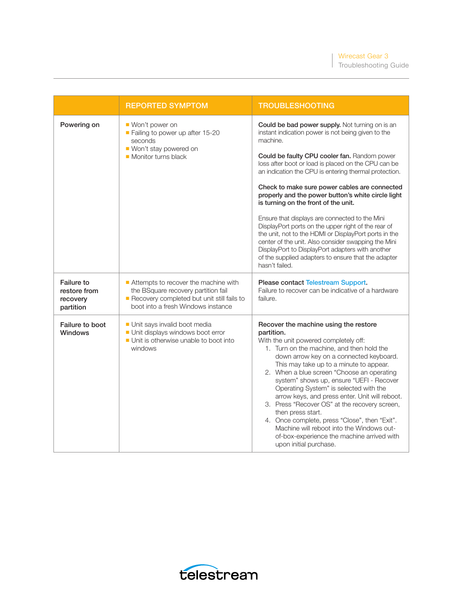Troubleshooting Guide

|                                                            | <b>REPORTED SYMPTOM</b>                                                                                                                                         | <b>TROUBLESHOOTING</b>                                                                                                                                                                                                                                                                                                                                                                                                                                                                                                                                                                                                                                                                                                                                                                 |
|------------------------------------------------------------|-----------------------------------------------------------------------------------------------------------------------------------------------------------------|----------------------------------------------------------------------------------------------------------------------------------------------------------------------------------------------------------------------------------------------------------------------------------------------------------------------------------------------------------------------------------------------------------------------------------------------------------------------------------------------------------------------------------------------------------------------------------------------------------------------------------------------------------------------------------------------------------------------------------------------------------------------------------------|
| Powering on                                                | ■ Won't power on<br>Failing to power up after 15-20<br>seconds<br>■ Won't stay powered on<br>Monitor turns black                                                | Could be bad power supply. Not turning on is an<br>instant indication power is not being given to the<br>machine.<br>Could be faulty CPU cooler fan. Random power<br>loss after boot or load is placed on the CPU can be<br>an indication the CPU is entering thermal protection.<br>Check to make sure power cables are connected<br>properly and the power button's white circle light<br>is turning on the front of the unit.<br>Ensure that displays are connected to the Mini<br>DisplayPort ports on the upper right of the rear of<br>the unit, not to the HDMI or DisplayPort ports in the<br>center of the unit. Also consider swapping the Mini<br>DisplayPort to DisplayPort adapters with another<br>of the supplied adapters to ensure that the adapter<br>hasn't failed. |
| <b>Failure to</b><br>restore from<br>recovery<br>partition | Attempts to recover the machine with<br>the BSquare recovery partition fail<br>Recovery completed but unit still fails to<br>boot into a fresh Windows instance | Please contact Telestream Support.<br>Failure to recover can be indicative of a hardware<br>failure.                                                                                                                                                                                                                                                                                                                                                                                                                                                                                                                                                                                                                                                                                   |
| Failure to boot<br><b>Windows</b>                          | Unit says invalid boot media<br>Unit displays windows boot error<br>Unit is otherwise unable to boot into<br>windows                                            | Recover the machine using the restore<br>partition.<br>With the unit powered completely off:<br>1. Turn on the machine, and then hold the<br>down arrow key on a connected keyboard.<br>This may take up to a minute to appear.<br>2. When a blue screen "Choose an operating<br>system" shows up, ensure "UEFI - Recover<br>Operating System" is selected with the<br>arrow keys, and press enter. Unit will reboot.<br>3. Press "Recover OS" at the recovery screen,<br>then press start.<br>4. Once complete, press "Close", then "Exit".<br>Machine will reboot into the Windows out-<br>of-box-experience the machine arrived with<br>upon initial purchase.                                                                                                                      |